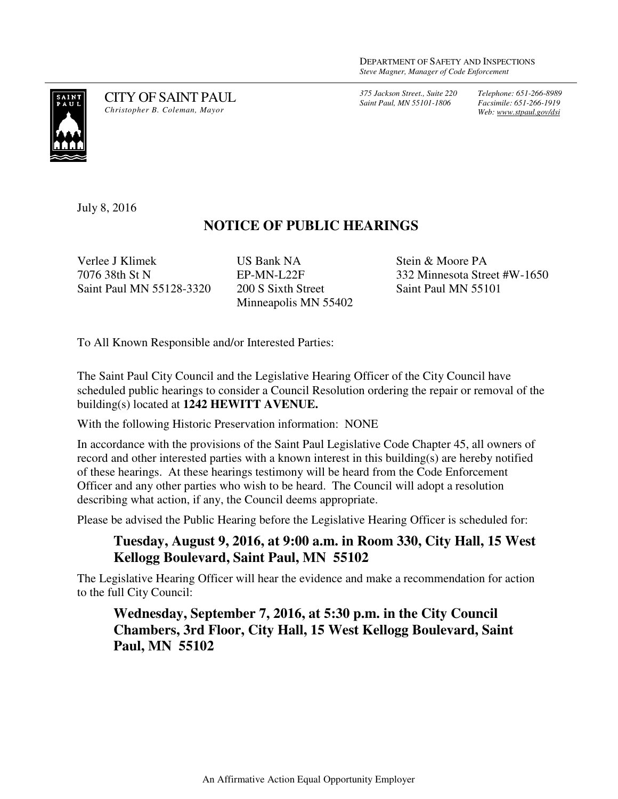*375 Jackson Street., Suite 220 Saint Paul, MN 55101-1806*

*Telephone: 651-266-8989 Facsimile: 651-266-1919 Web: www.stpaul.gov/dsi*



CITY OF SAINT PAUL *Christopher B. Coleman, Mayor* 

July 8, 2016

## **NOTICE OF PUBLIC HEARINGS**

Verlee J Klimek 7076 38th St N Saint Paul MN 55128-3320 US Bank NA EP-MN-L22F 200 S Sixth Street Minneapolis MN 55402 Stein & Moore PA 332 Minnesota Street #W-1650 Saint Paul MN 55101

To All Known Responsible and/or Interested Parties:

The Saint Paul City Council and the Legislative Hearing Officer of the City Council have scheduled public hearings to consider a Council Resolution ordering the repair or removal of the building(s) located at **1242 HEWITT AVENUE.** 

With the following Historic Preservation information: NONE

In accordance with the provisions of the Saint Paul Legislative Code Chapter 45, all owners of record and other interested parties with a known interest in this building(s) are hereby notified of these hearings. At these hearings testimony will be heard from the Code Enforcement Officer and any other parties who wish to be heard. The Council will adopt a resolution describing what action, if any, the Council deems appropriate.

Please be advised the Public Hearing before the Legislative Hearing Officer is scheduled for:

## **Tuesday, August 9, 2016, at 9:00 a.m. in Room 330, City Hall, 15 West Kellogg Boulevard, Saint Paul, MN 55102**

The Legislative Hearing Officer will hear the evidence and make a recommendation for action to the full City Council:

## **Wednesday, September 7, 2016, at 5:30 p.m. in the City Council Chambers, 3rd Floor, City Hall, 15 West Kellogg Boulevard, Saint Paul, MN 55102**